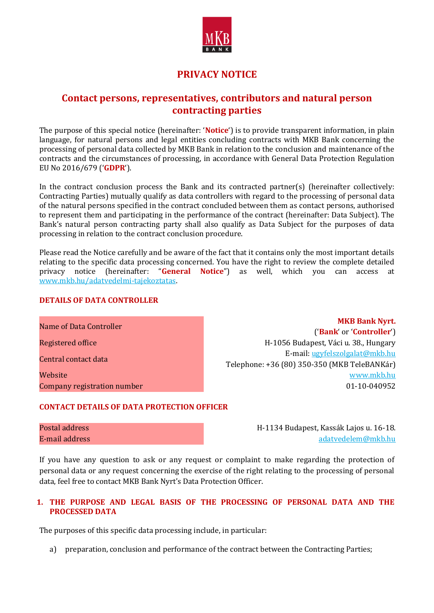

# **PRIVACY NOTICE**

# **Contact persons, representatives, contributors and natural person contracting parties**

The purpose of this special notice (hereinafter: '**Notice**') is to provide transparent information, in plain language, for natural persons and legal entities concluding contracts with MKB Bank concerning the processing of personal data collected by MKB Bank in relation to the conclusion and maintenance of the contracts and the circumstances of processing, in accordance with General Data Protection Regulation EU No 2016/679 ('**GDPR**').

In the contract conclusion process the Bank and its contracted partner(s) (hereinafter collectively: Contracting Parties) mutually qualify as data controllers with regard to the processing of personal data of the natural persons specified in the contract concluded between them as contact persons, authorised to represent them and participating in the performance of the contract (hereinafter: Data Subject). The Bank's natural person contracting party shall also qualify as Data Subject for the purposes of data processing in relation to the contract conclusion procedure.

Please read the Notice carefully and be aware of the fact that it contains only the most important details relating to the specific data processing concerned. You have the right to review the complete detailed privacy notice (hereinafter: "**General Notice**") as well, which you can access at [www.mkb.hu/adatvedelmi-tajekoztatas.](http://www.mkb.hu/adatvedelmi-tajekoztatas)

#### **DETAILS OF DATA CONTROLLER**

**Name of Data Controller MKB Bank Nyrt. MKB Bank Nyrt. MKB Bank Nyrt.** ('**Bank**' or '**Controller**') Registered office **Registered office** H-1056 Budapest, Váci u. 38., Hungary Central contact data E-mail: [ugyfelszolgalat@mkb.hu](mailto:ugyfelszolgalat@mkb.hu) Telephone: +36 (80) 350-350 (MKB TeleBANKár) Website [www.mkb.hu](http://www.mkb.hu/) Company registration number 01-10-040952

# **CONTACT DETAILS OF DATA PROTECTION OFFICER**

Postal address H-1134 Budapest, Kassák Lajos u. 16-18. E-mail address [adatvedelem@mkb.hu](mailto:adatvedelem@mkb.hu)

If you have any question to ask or any request or complaint to make regarding the protection of personal data or any request concerning the exercise of the right relating to the processing of personal data, feel free to contact MKB Bank Nyrt's Data Protection Officer.

# **1. THE PURPOSE AND LEGAL BASIS OF THE PROCESSING OF PERSONAL DATA AND THE PROCESSED DATA**

The purposes of this specific data processing include, in particular:

a) preparation, conclusion and performance of the contract between the Contracting Parties;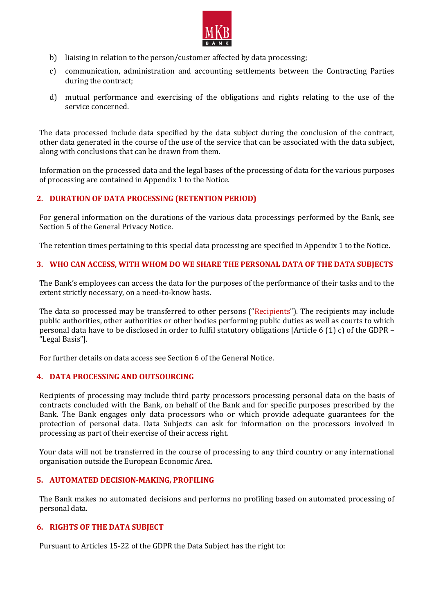

- b) liaising in relation to the person/customer affected by data processing;
- c) communication, administration and accounting settlements between the Contracting Parties during the contract;
- d) mutual performance and exercising of the obligations and rights relating to the use of the service concerned.

The data processed include data specified by the data subject during the conclusion of the contract, other data generated in the course of the use of the service that can be associated with the data subject, along with conclusions that can be drawn from them.

Information on the processed data and the legal bases of the processing of data for the various purposes of processing are contained in Appendix 1 to the Notice.

# **2. DURATION OF DATA PROCESSING (RETENTION PERIOD)**

For general information on the durations of the various data processings performed by the Bank, see Section 5 of the General Privacy Notice.

The retention times pertaining to this special data processing are specified in Appendix 1 to the Notice.

# **3. WHO CAN ACCESS, WITH WHOM DO WE SHARE THE PERSONAL DATA OF THE DATA SUBJECTS**

The Bank's employees can access the data for the purposes of the performance of their tasks and to the extent strictly necessary, on a need-to-know basis.

The data so processed may be transferred to other persons ("Recipients"). The recipients may include public authorities, other authorities or other bodies performing public duties as well as courts to which personal data have to be disclosed in order to fulfil statutory obligations [Article 6 (1) c) of the GDPR – "Legal Basis"].

For further details on data access see Section 6 of the General Notice.

# **4. DATA PROCESSING AND OUTSOURCING**

Recipients of processing may include third party processors processing personal data on the basis of contracts concluded with the Bank, on behalf of the Bank and for specific purposes prescribed by the Bank. The Bank engages only data processors who or which provide adequate guarantees for the protection of personal data. Data Subjects can ask for information on the processors involved in processing as part of their exercise of their access right.

Your data will not be transferred in the course of processing to any third country or any international organisation outside the European Economic Area.

# **5. AUTOMATED DECISION-MAKING, PROFILING**

The Bank makes no automated decisions and performs no profiling based on automated processing of personal data.

# **6. RIGHTS OF THE DATA SUBJECT**

Pursuant to Articles 15-22 of the GDPR the Data Subject has the right to: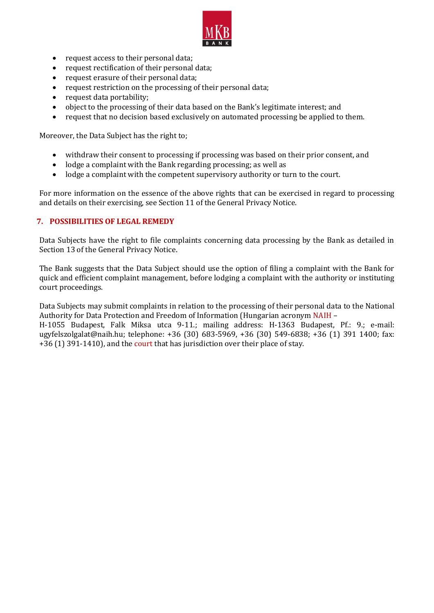

- request access to their personal data;
- request rectification of their personal data;
- request erasure of their personal data;
- request restriction on the processing of their personal data;
- request data portability;
- object to the processing of their data based on the Bank's legitimate interest; and
- request that no decision based exclusively on automated processing be applied to them.

Moreover, the Data Subject has the right to;

- withdraw their consent to processing if processing was based on their prior consent, and
- lodge a complaint with the Bank regarding processing; as well as
- lodge a complaint with the competent supervisory authority or turn to the court.

For more information on the essence of the above rights that can be exercised in regard to processing and details on their exercising, see Section 11 of the General Privacy Notice.

#### **7. POSSIBILITIES OF LEGAL REMEDY**

Data Subjects have the right to file complaints concerning data processing by the Bank as detailed in Section 13 of the General Privacy Notice.

The Bank suggests that the Data Subject should use the option of filing a complaint with the Bank for quick and efficient complaint management, before lodging a complaint with the authority or instituting court proceedings.

Data Subjects may submit complaints in relation to the processing of their personal data to the National Authority for Data Protection and Freedom of Information (Hungarian acronym NAIH –

H-1055 Budapest, Falk Miksa utca 9-11.; mailing address: H-1363 Budapest, Pf.: 9.; e-mail: ugyfelszolgalat@naih.hu; telephone: +36 (30) 683-5969, +36 (30) 549-6838; +36 (1) 391 1400; fax: +36 (1) 391-1410), and the court that has jurisdiction over their place of stay.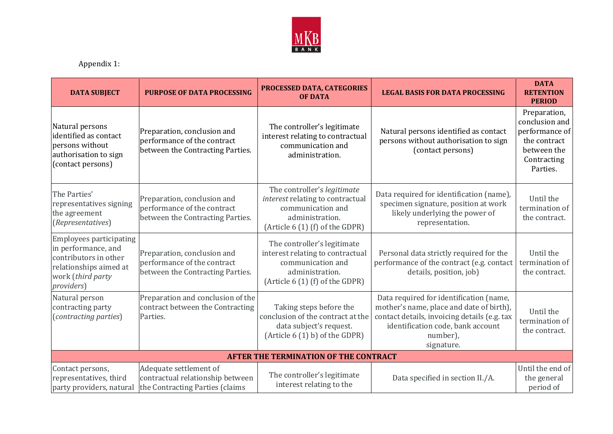

Appendix 1:

| <b>DATA SUBJECT</b>                                                                                                                                 | <b>PURPOSE OF DATA PROCESSING</b>                                                              | PROCESSED DATA, CATEGORIES<br><b>OF DATA</b>                                                                                                | <b>LEGAL BASIS FOR DATA PROCESSING</b>                                                                                                                                                             | <b>DATA</b><br><b>RETENTION</b><br><b>PERIOD</b>                                                           |  |  |  |
|-----------------------------------------------------------------------------------------------------------------------------------------------------|------------------------------------------------------------------------------------------------|---------------------------------------------------------------------------------------------------------------------------------------------|----------------------------------------------------------------------------------------------------------------------------------------------------------------------------------------------------|------------------------------------------------------------------------------------------------------------|--|--|--|
| Natural persons<br>identified as contact<br>persons without<br>authorisation to sign<br>(contact persons)                                           | Preparation, conclusion and<br>performance of the contract<br>between the Contracting Parties. | The controller's legitimate<br>interest relating to contractual<br>communication and<br>administration.                                     | Natural persons identified as contact<br>persons without authorisation to sign<br>(contact persons)                                                                                                | Preparation,<br>conclusion and<br>performance of<br>the contract<br>between the<br>Contracting<br>Parties. |  |  |  |
| The Parties'<br>representatives signing<br>the agreement<br>(Representatives)                                                                       | Preparation, conclusion and<br>performance of the contract<br>between the Contracting Parties. | The controller's legitimate<br>interest relating to contractual<br>communication and<br>administration.<br>(Article 6 (1) (f) of the GDPR)  | Data required for identification (name),<br>specimen signature, position at work<br>likely underlying the power of<br>representation.                                                              | Until the<br>termination of<br>the contract.                                                               |  |  |  |
| <b>Employees participating</b><br>in performance, and<br>contributors in other<br>relationships aimed at<br>work (third party<br><i>providers</i> ) | Preparation, conclusion and<br>performance of the contract<br>between the Contracting Parties. | The controller's legitimate<br>interest relating to contractual<br>communication and<br>administration.<br>(Article $6(1)$ (f) of the GDPR) | Personal data strictly required for the<br>performance of the contract (e.g. contact<br>details, position, job)                                                                                    | Until the<br>termination of<br>the contract.                                                               |  |  |  |
| Natural person<br>contracting party<br>(contracting parties)                                                                                        | Preparation and conclusion of the<br>contract between the Contracting<br>Parties.              | Taking steps before the<br>conclusion of the contract at the<br>data subject's request.<br>(Article $6(1)$ b) of the GDPR)                  | Data required for identification (name,<br>mother's name, place and date of birth),<br>contact details, invoicing details (e.g. tax<br>identification code, bank account<br>number),<br>signature. | Until the<br>termination of<br>the contract.                                                               |  |  |  |
| <b>AFTER THE TERMINATION OF THE CONTRACT</b>                                                                                                        |                                                                                                |                                                                                                                                             |                                                                                                                                                                                                    |                                                                                                            |  |  |  |
| Contact persons,<br>representatives, third<br>party providers, natural                                                                              | Adequate settlement of<br>contractual relationship between<br>the Contracting Parties (claims  | The controller's legitimate<br>interest relating to the                                                                                     | Data specified in section II./A.                                                                                                                                                                   | Until the end of<br>the general<br>period of                                                               |  |  |  |